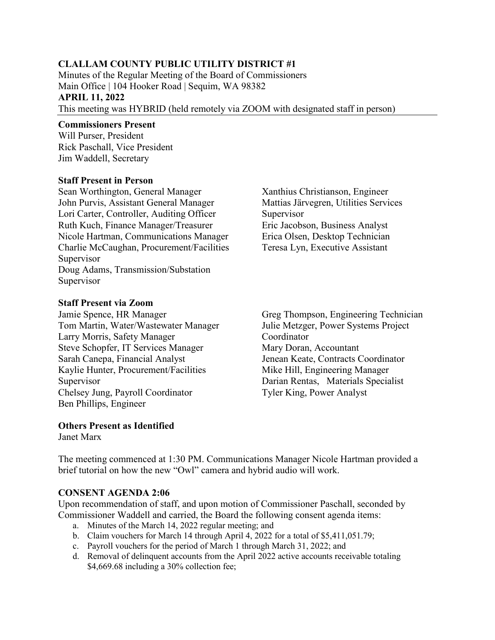## **CLALLAM COUNTY PUBLIC UTILITY DISTRICT #1**

Minutes of the Regular Meeting of the Board of Commissioners Main Office | 104 Hooker Road | Sequim, WA 98382 **APRIL 11, 2022**  This meeting was HYBRID (held remotely via ZOOM with designated staff in person)

#### **Commissioners Present**

Will Purser, President Rick Paschall, Vice President Jim Waddell, Secretary

#### **Staff Present in Person**

Sean Worthington, General Manager John Purvis, Assistant General Manager Lori Carter, Controller, Auditing Officer Ruth Kuch, Finance Manager/Treasurer Nicole Hartman, Communications Manager Charlie McCaughan, Procurement/Facilities Supervisor Doug Adams, Transmission/Substation Supervisor

Xanthius Christianson, Engineer Mattias Järvegren, Utilities Services Supervisor Eric Jacobson, Business Analyst Erica Olsen, Desktop Technician Teresa Lyn, Executive Assistant

#### **Staff Present via Zoom**

Jamie Spence, HR Manager Tom Martin, Water/Wastewater Manager Larry Morris, Safety Manager Steve Schopfer, IT Services Manager Sarah Canepa, Financial Analyst Kaylie Hunter, Procurement/Facilities Supervisor Chelsey Jung, Payroll Coordinator Ben Phillips, Engineer

Greg Thompson, Engineering Technician Julie Metzger, Power Systems Project Coordinator Mary Doran, Accountant Jenean Keate, Contracts Coordinator Mike Hill, Engineering Manager Darian Rentas, Materials Specialist Tyler King, Power Analyst

# **Others Present as Identified**

Janet Marx

The meeting commenced at 1:30 PM. Communications Manager Nicole Hartman provided a brief tutorial on how the new "Owl" camera and hybrid audio will work.

#### **CONSENT AGENDA 2:06**

Upon recommendation of staff, and upon motion of Commissioner Paschall, seconded by Commissioner Waddell and carried, the Board the following consent agenda items:

- a. Minutes of the March 14, 2022 regular meeting; and
- b. Claim vouchers for March 14 through April 4, 2022 for a total of \$5,411,051.79;
- c. Payroll vouchers for the period of March 1 through March 31, 2022; and
- d. Removal of delinquent accounts from the April 2022 active accounts receivable totaling \$4,669.68 including a 30% collection fee;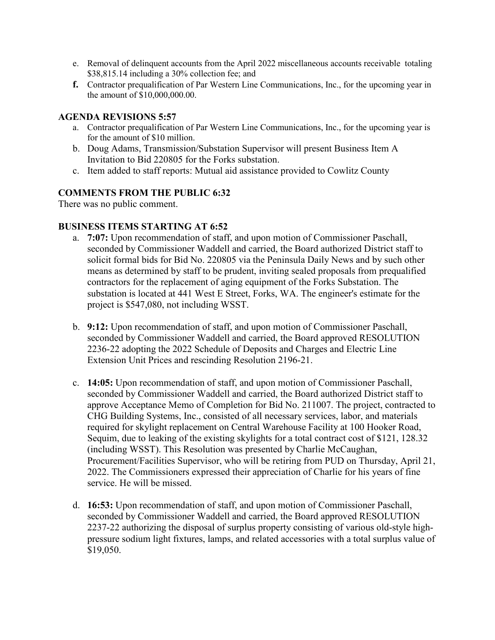- e. Removal of delinquent accounts from the April 2022 miscellaneous accounts receivable totaling \$38,815.14 including a 30% collection fee; and
- **f.** Contractor prequalification of Par Western Line Communications, Inc., for the upcoming year in the amount of \$10,000,000.00.

### **AGENDA REVISIONS 5:57**

- a. Contractor prequalification of Par Western Line Communications, Inc., for the upcoming year is for the amount of \$10 million.
- b. Doug Adams, Transmission/Substation Supervisor will present Business Item A Invitation to Bid 220805 for the Forks substation.
- c. Item added to staff reports: Mutual aid assistance provided to Cowlitz County

## **COMMENTS FROM THE PUBLIC 6:32**

There was no public comment.

## **BUSINESS ITEMS STARTING AT 6:52**

- a. **7:07:** Upon recommendation of staff, and upon motion of Commissioner Paschall, seconded by Commissioner Waddell and carried, the Board authorized District staff to solicit formal bids for Bid No. 220805 via the Peninsula Daily News and by such other means as determined by staff to be prudent, inviting sealed proposals from prequalified contractors for the replacement of aging equipment of the Forks Substation. The substation is located at 441 West E Street, Forks, WA. The engineer's estimate for the project is \$547,080, not including WSST.
- b. **9:12:** Upon recommendation of staff, and upon motion of Commissioner Paschall, seconded by Commissioner Waddell and carried, the Board approved RESOLUTION 2236-22 adopting the 2022 Schedule of Deposits and Charges and Electric Line Extension Unit Prices and rescinding Resolution 2196-21.
- c. **14:05:** Upon recommendation of staff, and upon motion of Commissioner Paschall, seconded by Commissioner Waddell and carried, the Board authorized District staff to approve Acceptance Memo of Completion for Bid No. 211007. The project, contracted to CHG Building Systems, Inc., consisted of all necessary services, labor, and materials required for skylight replacement on Central Warehouse Facility at 100 Hooker Road, Sequim, due to leaking of the existing skylights for a total contract cost of \$121, 128.32 (including WSST). This Resolution was presented by Charlie McCaughan, Procurement/Facilities Supervisor, who will be retiring from PUD on Thursday, April 21, 2022. The Commissioners expressed their appreciation of Charlie for his years of fine service. He will be missed.
- d. **16:53:** Upon recommendation of staff, and upon motion of Commissioner Paschall, seconded by Commissioner Waddell and carried, the Board approved RESOLUTION 2237-22 authorizing the disposal of surplus property consisting of various old-style highpressure sodium light fixtures, lamps, and related accessories with a total surplus value of \$19,050.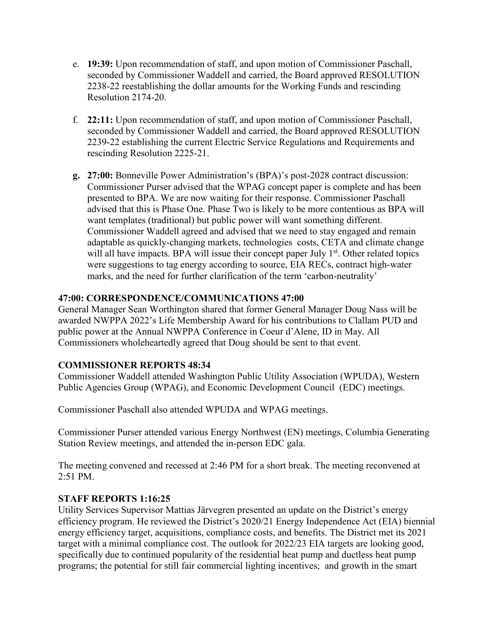- e. **19:39:** Upon recommendation of staff, and upon motion of Commissioner Paschall, seconded by Commissioner Waddell and carried, the Board approved RESOLUTION 2238-22 reestablishing the dollar amounts for the Working Funds and rescinding Resolution 2174-20.
- f. **22:11:** Upon recommendation of staff, and upon motion of Commissioner Paschall, seconded by Commissioner Waddell and carried, the Board approved RESOLUTION 2239-22 establishing the current Electric Service Regulations and Requirements and rescinding Resolution 2225-21.
- **g. 27:00:** Bonneville Power Administration's (BPA)'s post-2028 contract discussion: Commissioner Purser advised that the WPAG concept paper is complete and has been presented to BPA. We are now waiting for their response. Commissioner Paschall advised that this is Phase One. Phase Two is likely to be more contentious as BPA will want templates (traditional) but public power will want something different. Commissioner Waddell agreed and advised that we need to stay engaged and remain adaptable as quickly-changing markets, technologies costs, CETA and climate change will all have impacts. BPA will issue their concept paper July  $1<sup>st</sup>$ . Other related topics were suggestions to tag energy according to source, EIA RECs, contract high-water marks, and the need for further clarification of the term 'carbon-neutrality'

## **47:00: CORRESPONDENCE/COMMUNICATIONS 47:00**

General Manager Sean Worthington shared that former General Manager Doug Nass will be awarded NWPPA 2022's Life Membership Award for his contributions to Clallam PUD and public power at the Annual NWPPA Conference in Coeur d'Alene, ID in May. All Commissioners wholeheartedly agreed that Doug should be sent to that event.

# **COMMISSIONER REPORTS 48:34**

Commissioner Waddell attended Washington Public Utility Association (WPUDA), Western Public Agencies Group (WPAG), and Economic Development Council (EDC) meetings.

Commissioner Paschall also attended WPUDA and WPAG meetings.

Commissioner Purser attended various Energy Northwest (EN) meetings, Columbia Generating Station Review meetings, and attended the in-person EDC gala.

The meeting convened and recessed at 2:46 PM for a short break. The meeting reconvened at 2:51 PM.

## **STAFF REPORTS 1:16:25**

Utility Services Supervisor Mattias Järvegren presented an update on the District's energy efficiency program. He reviewed the District's 2020/21 Energy Independence Act (EIA) biennial energy efficiency target, acquisitions, compliance costs, and benefits. The District met its 2021 target with a minimal compliance cost. The outlook for 2022/23 EIA targets are looking good, specifically due to continued popularity of the residential heat pump and ductless heat pump programs; the potential for still fair commercial lighting incentives; and growth in the smart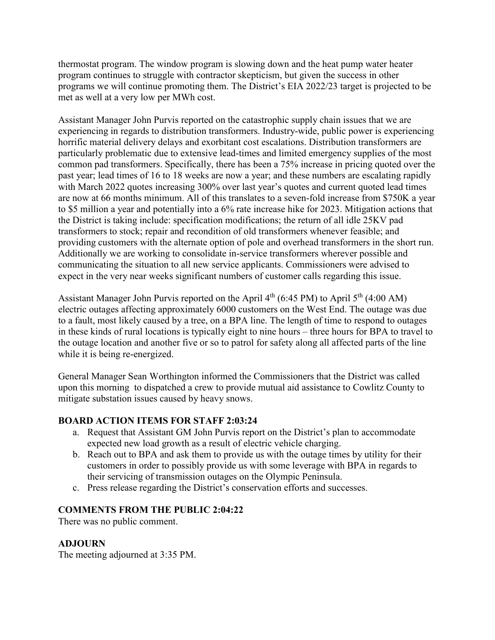thermostat program. The window program is slowing down and the heat pump water heater program continues to struggle with contractor skepticism, but given the success in other programs we will continue promoting them. The District's EIA 2022/23 target is projected to be met as well at a very low per MWh cost.

Assistant Manager John Purvis reported on the catastrophic supply chain issues that we are experiencing in regards to distribution transformers. Industry-wide, public power is experiencing horrific material delivery delays and exorbitant cost escalations. Distribution transformers are particularly problematic due to extensive lead-times and limited emergency supplies of the most common pad transformers. Specifically, there has been a 75% increase in pricing quoted over the past year; lead times of 16 to 18 weeks are now a year; and these numbers are escalating rapidly with March 2022 quotes increasing 300% over last year's quotes and current quoted lead times are now at 66 months minimum. All of this translates to a seven-fold increase from \$750K a year to \$5 million a year and potentially into a 6% rate increase hike for 2023. Mitigation actions that the District is taking include: specification modifications; the return of all idle 25KV pad transformers to stock; repair and recondition of old transformers whenever feasible; and providing customers with the alternate option of pole and overhead transformers in the short run. Additionally we are working to consolidate in-service transformers wherever possible and communicating the situation to all new service applicants. Commissioners were advised to expect in the very near weeks significant numbers of customer calls regarding this issue.

Assistant Manager John Purvis reported on the April  $4<sup>th</sup>$  (6:45 PM) to April  $5<sup>th</sup>$  (4:00 AM) electric outages affecting approximately 6000 customers on the West End. The outage was due to a fault, most likely caused by a tree, on a BPA line. The length of time to respond to outages in these kinds of rural locations is typically eight to nine hours – three hours for BPA to travel to the outage location and another five or so to patrol for safety along all affected parts of the line while it is being re-energized.

General Manager Sean Worthington informed the Commissioners that the District was called upon this morning to dispatched a crew to provide mutual aid assistance to Cowlitz County to mitigate substation issues caused by heavy snows.

## **BOARD ACTION ITEMS FOR STAFF 2:03:24**

- a. Request that Assistant GM John Purvis report on the District's plan to accommodate expected new load growth as a result of electric vehicle charging.
- b. Reach out to BPA and ask them to provide us with the outage times by utility for their customers in order to possibly provide us with some leverage with BPA in regards to their servicing of transmission outages on the Olympic Peninsula.
- c. Press release regarding the District's conservation efforts and successes.

#### **COMMENTS FROM THE PUBLIC 2:04:22**

There was no public comment.

#### **ADJOURN**

The meeting adjourned at 3:35 PM.